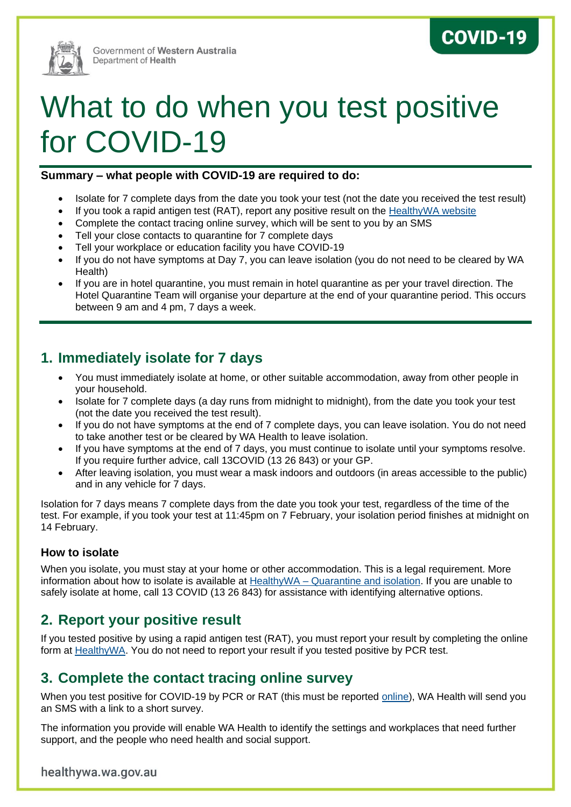

Government of Western Australia Department of Health

# What to do when you test positive for COVID-19

#### **Summary – what people with COVID-19 are required to do:**

• Isolate for 7 complete days from the date you took your test (not the date you received the test result)

**COVID-19** 

- If you took a rapid antigen test (RAT), report any positive result on the [HealthyWA website](https://www.healthywa.wa.gov.au/ratregister)
- Complete the contact tracing online survey, which will be sent to you by an SMS
- Tell your close contacts to quarantine for 7 complete days
- Tell your workplace or education facility you have COVID-19
- If you do not have symptoms at Day 7, you can leave isolation (you do not need to be cleared by WA Health)
- If you are in hotel quarantine, you must remain in hotel quarantine as per your travel direction. The Hotel Quarantine Team will organise your departure at the end of your quarantine period. This occurs between 9 am and 4 pm, 7 days a week.

## **1. Immediately isolate for 7 days**

- You must immediately isolate at home, or other suitable accommodation, away from other people in your household.
- Isolate for 7 complete days (a day runs from midnight to midnight), from the date you took your test (not the date you received the test result).
- If you do not have symptoms at the end of 7 complete days, you can leave isolation. You do not need to take another test or be cleared by WA Health to leave isolation.
- If you have symptoms at the end of 7 days, you must continue to isolate until your symptoms resolve. If you require further advice, call 13COVID (13 26 843) or your GP.
- After leaving isolation, you must wear a mask indoors and outdoors (in areas accessible to the public) and in any vehicle for 7 days.

Isolation for 7 days means 7 complete days from the date you took your test, regardless of the time of the test. For example, if you took your test at 11:45pm on 7 February, your isolation period finishes at midnight on 14 February.

#### **How to isolate**

When you isolate, you must stay at your home or other accommodation. This is a legal requirement. More information about how to isolate is available at HealthyWA – [Quarantine and isolation.](https://www.healthywa.wa.gov.au/Articles/A_E/Coronavirus/Quarantine-and-isolation) If you are unable to safely isolate at home, call 13 COVID (13 26 843) for assistance with identifying alternative options.

## **2. Report your positive result**

If you tested positive by using a rapid antigen test (RAT), you must report your result by completing the online form at [HealthyWA.](https://www.healthywa.wa.gov.au/ratregister) You do not need to report your result if you tested positive by PCR test.

## **3. Complete the contact tracing online survey**

When you test positive for COVID-19 by PCR or RAT (this must be reported [online\)](https://www.healthywa.wa.gov.au/ratregister), WA Health will send you an SMS with a link to a short survey.

The information you provide will enable WA Health to identify the settings and workplaces that need further support, and the people who need health and social support.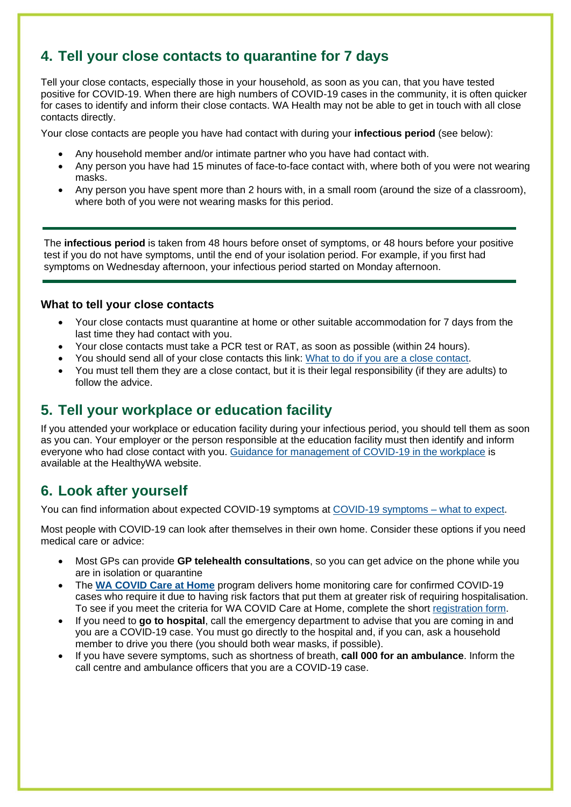# **4. Tell your close contacts to quarantine for 7 days**

Tell your close contacts, especially those in your household, as soon as you can, that you have tested positive for COVID-19. When there are high numbers of COVID-19 cases in the community, it is often quicker for cases to identify and inform their close contacts. WA Health may not be able to get in touch with all close contacts directly.

Your close contacts are people you have had contact with during your **infectious period** (see below):

- Any household member and/or intimate partner who you have had contact with.
- Any person you have had 15 minutes of face-to-face contact with, where both of you were not wearing masks.
- Any person you have spent more than 2 hours with, in a small room (around the size of a classroom), where both of you were not wearing masks for this period.

The **infectious period** is taken from 48 hours before onset of symptoms, or 48 hours before your positive test if you do not have symptoms, until the end of your isolation period. For example, if you first had symptoms on Wednesday afternoon, your infectious period started on Monday afternoon.

#### **What to tell your close contacts**

- Your close contacts must quarantine at home or other suitable accommodation for 7 days from the last time they had contact with you.
- Your close contacts must take a PCR test or RAT, as soon as possible (within 24 hours).
- You should send all of your close contacts this link: [What to do if you are a close contact.](https://www.healthywa.wa.gov.au/~/media/HWA/Documents/Health-conditions/COVID19/COVID19-What-to-do-if-you-are-a-COVID-19-close-contact.pdf)
- You must tell them they are a close contact, but it is their legal responsibility (if they are adults) to follow the advice.

## **5. Tell your workplace or education facility**

If you attended your workplace or education facility during your infectious period, you should tell them as soon as you can. Your employer or the person responsible at the education facility must then identify and inform everyone who had close contact with you. [Guidance for management of COVID-19 in the workplace](https://ww2.health.wa.gov.au/Articles/A_E/Coronavirus/COVID19-information-for-business-and-industry/TTIQ-Plan) is available at the HealthyWA website.

## **6. Look after yourself**

You can find information about expected COVID-19 symptoms at [COVID-19 symptoms –](https://www.healthywa.wa.gov.au/Articles/A_E/Coronavirus/Managing-COVID19-at-home-and-in-the-community/COVID19-symptoms-what-to-expect) what to expect.

Most people with COVID-19 can look after themselves in their own home. Consider these options if you need medical care or advice:

- Most GPs can provide **GP telehealth consultations**, so you can get advice on the phone while you are in isolation or quarantine
- The **[WA COVID Care at Home](https://www.healthywa.wa.gov.au/Articles/A_E/Coronavirus/Managing-COVID19-at-home-and-in-the-community/WA-COVID-Care-at-Home)** program delivers home monitoring care for confirmed COVID-19 cases who require it due to having risk factors that put them at greater risk of requiring hospitalisation. To see if you meet the criteria for WA COVID Care at Home, complete the short [registration form.](http://www.healthywa.wa.gov.au/Articles/A_E/Coronavirus/Managing-COVID19-at-home-and-in-the-community/WA-COVID-Care-at-Home)
- If you need to **go to hospital**, call the emergency department to advise that you are coming in and you are a COVID-19 case. You must go directly to the hospital and, if you can, ask a household member to drive you there (you should both wear masks, if possible).
- If you have severe symptoms, such as shortness of breath, **call 000 for an ambulance**. Inform the call centre and ambulance officers that you are a COVID-19 case.